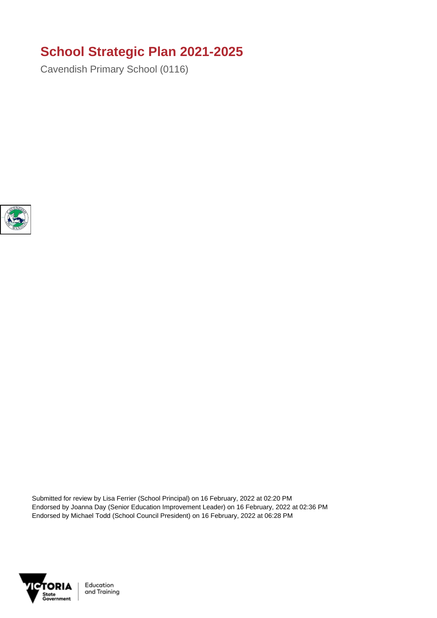## **School Strategic Plan 2021-2025**

Cavendish Primary School (0116)



Submitted for review by Lisa Ferrier (School Principal) on 16 February, 2022 at 02:20 PM Endorsed by Joanna Day (Senior Education Improvement Leader) on 16 February, 2022 at 02:36 PM Endorsed by Michael Todd (School Council President) on 16 February, 2022 at 06:28 PM



Education and Training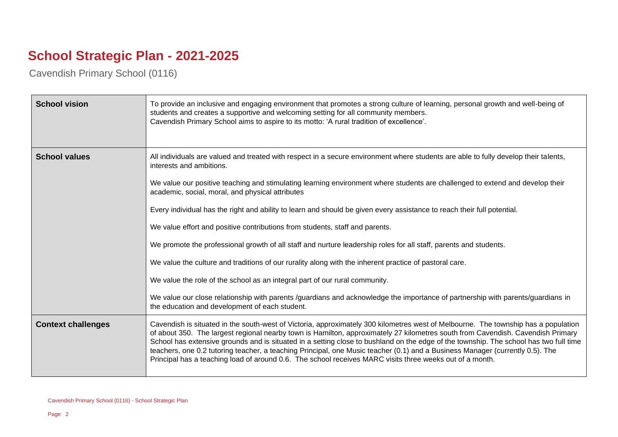## **School Strategic Plan - 2021-2025**

Cavendish Primary School (0116)

| <b>School vision</b>      | To provide an inclusive and engaging environment that promotes a strong culture of learning, personal growth and well-being of<br>students and creates a supportive and welcoming setting for all community members.<br>Cavendish Primary School aims to aspire to its motto: 'A rural tradition of excellence'.                                                                                                                                                                                                                                                                                                                                            |
|---------------------------|-------------------------------------------------------------------------------------------------------------------------------------------------------------------------------------------------------------------------------------------------------------------------------------------------------------------------------------------------------------------------------------------------------------------------------------------------------------------------------------------------------------------------------------------------------------------------------------------------------------------------------------------------------------|
| <b>School values</b>      | All individuals are valued and treated with respect in a secure environment where students are able to fully develop their talents,<br>interests and ambitions.                                                                                                                                                                                                                                                                                                                                                                                                                                                                                             |
|                           | We value our positive teaching and stimulating learning environment where students are challenged to extend and develop their<br>academic, social, moral, and physical attributes                                                                                                                                                                                                                                                                                                                                                                                                                                                                           |
|                           | Every individual has the right and ability to learn and should be given every assistance to reach their full potential.                                                                                                                                                                                                                                                                                                                                                                                                                                                                                                                                     |
|                           | We value effort and positive contributions from students, staff and parents.                                                                                                                                                                                                                                                                                                                                                                                                                                                                                                                                                                                |
|                           | We promote the professional growth of all staff and nurture leadership roles for all staff, parents and students.                                                                                                                                                                                                                                                                                                                                                                                                                                                                                                                                           |
|                           | We value the culture and traditions of our rurality along with the inherent practice of pastoral care.                                                                                                                                                                                                                                                                                                                                                                                                                                                                                                                                                      |
|                           | We value the role of the school as an integral part of our rural community.                                                                                                                                                                                                                                                                                                                                                                                                                                                                                                                                                                                 |
|                           | We value our close relationship with parents /guardians and acknowledge the importance of partnership with parents/guardians in<br>the education and development of each student.                                                                                                                                                                                                                                                                                                                                                                                                                                                                           |
| <b>Context challenges</b> | Cavendish is situated in the south-west of Victoria, approximately 300 kilometres west of Melbourne. The township has a population<br>of about 350. The largest regional nearby town is Hamilton, approximately 27 kilometres south from Cavendish. Cavendish Primary<br>School has extensive grounds and is situated in a setting close to bushland on the edge of the township. The school has two full time<br>teachers, one 0.2 tutoring teacher, a teaching Principal, one Music teacher (0.1) and a Business Manager (currently 0.5). The<br>Principal has a teaching load of around 0.6. The school receives MARC visits three weeks out of a month. |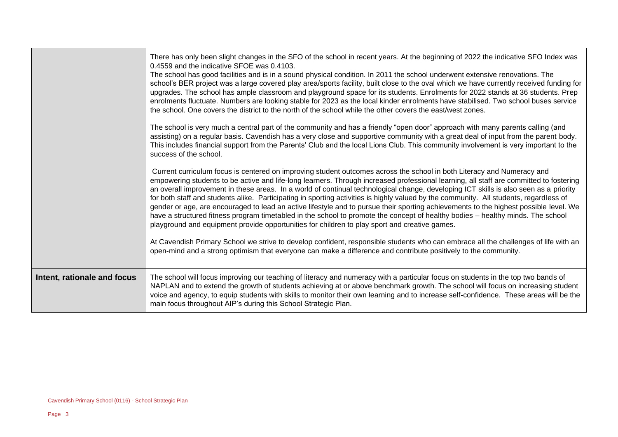|                             | There has only been slight changes in the SFO of the school in recent years. At the beginning of 2022 the indicative SFO Index was<br>0.4559 and the indicative SFOE was 0.4103.<br>The school has good facilities and is in a sound physical condition. In 2011 the school underwent extensive renovations. The<br>school's BER project was a large covered play area/sports facility, built close to the oval which we have currently received funding for<br>upgrades. The school has ample classroom and playground space for its students. Enrolments for 2022 stands at 36 students. Prep<br>enrolments fluctuate. Numbers are looking stable for 2023 as the local kinder enrolments have stabilised. Two school buses service<br>the school. One covers the district to the north of the school while the other covers the east/west zones.<br>The school is very much a central part of the community and has a friendly "open door" approach with many parents calling (and<br>assisting) on a regular basis. Cavendish has a very close and supportive community with a great deal of input from the parent body.<br>This includes financial support from the Parents' Club and the local Lions Club. This community involvement is very important to the<br>success of the school.<br>Current curriculum focus is centered on improving student outcomes across the school in both Literacy and Numeracy and<br>empowering students to be active and life-long learners. Through increased professional learning, all staff are committed to fostering<br>an overall improvement in these areas. In a world of continual technological change, developing ICT skills is also seen as a priority<br>for both staff and students alike. Participating in sporting activities is highly valued by the community. All students, regardless of<br>gender or age, are encouraged to lead an active lifestyle and to pursue their sporting achievements to the highest possible level. We<br>have a structured fitness program timetabled in the school to promote the concept of healthy bodies – healthy minds. The school<br>playground and equipment provide opportunities for children to play sport and creative games.<br>At Cavendish Primary School we strive to develop confident, responsible students who can embrace all the challenges of life with an |
|-----------------------------|---------------------------------------------------------------------------------------------------------------------------------------------------------------------------------------------------------------------------------------------------------------------------------------------------------------------------------------------------------------------------------------------------------------------------------------------------------------------------------------------------------------------------------------------------------------------------------------------------------------------------------------------------------------------------------------------------------------------------------------------------------------------------------------------------------------------------------------------------------------------------------------------------------------------------------------------------------------------------------------------------------------------------------------------------------------------------------------------------------------------------------------------------------------------------------------------------------------------------------------------------------------------------------------------------------------------------------------------------------------------------------------------------------------------------------------------------------------------------------------------------------------------------------------------------------------------------------------------------------------------------------------------------------------------------------------------------------------------------------------------------------------------------------------------------------------------------------------------------------------------------------------------------------------------------------------------------------------------------------------------------------------------------------------------------------------------------------------------------------------------------------------------------------------------------------------------------------------------------------------------------------------------------------------------------------------------------------------------------------------------------|
|                             | open-mind and a strong optimism that everyone can make a difference and contribute positively to the community.                                                                                                                                                                                                                                                                                                                                                                                                                                                                                                                                                                                                                                                                                                                                                                                                                                                                                                                                                                                                                                                                                                                                                                                                                                                                                                                                                                                                                                                                                                                                                                                                                                                                                                                                                                                                                                                                                                                                                                                                                                                                                                                                                                                                                                                           |
| Intent, rationale and focus | The school will focus improving our teaching of literacy and numeracy with a particular focus on students in the top two bands of<br>NAPLAN and to extend the growth of students achieving at or above benchmark growth. The school will focus on increasing student<br>voice and agency, to equip students with skills to monitor their own learning and to increase self-confidence. These areas will be the<br>main focus throughout AIP's during this School Strategic Plan.                                                                                                                                                                                                                                                                                                                                                                                                                                                                                                                                                                                                                                                                                                                                                                                                                                                                                                                                                                                                                                                                                                                                                                                                                                                                                                                                                                                                                                                                                                                                                                                                                                                                                                                                                                                                                                                                                          |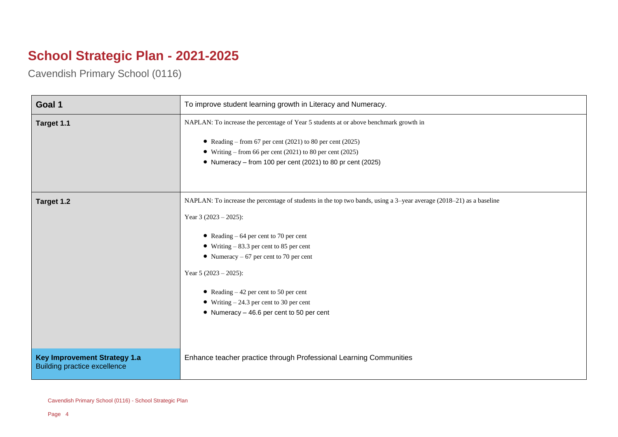## **School Strategic Plan - 2021-2025**

Cavendish Primary School (0116)

| Goal 1                                                                     | To improve student learning growth in Literacy and Numeracy.                                                        |
|----------------------------------------------------------------------------|---------------------------------------------------------------------------------------------------------------------|
| Target 1.1                                                                 | NAPLAN: To increase the percentage of Year 5 students at or above benchmark growth in                               |
|                                                                            | • Reading – from 67 per cent (2021) to 80 per cent (2025)                                                           |
|                                                                            | • Writing – from 66 per cent (2021) to 80 per cent (2025)                                                           |
|                                                                            | • Numeracy - from 100 per cent (2021) to 80 pr cent (2025)                                                          |
|                                                                            |                                                                                                                     |
| Target 1.2                                                                 | NAPLAN: To increase the percentage of students in the top two bands, using a 3-year average (2018–21) as a baseline |
|                                                                            | Year 3 $(2023 - 2025)$ :                                                                                            |
|                                                                            | • Reading $-64$ per cent to 70 per cent                                                                             |
|                                                                            | • Writing $-83.3$ per cent to 85 per cent                                                                           |
|                                                                            | • Numeracy $-67$ per cent to 70 per cent                                                                            |
|                                                                            | Year 5 $(2023 - 2025)$ :                                                                                            |
|                                                                            | • Reading $-42$ per cent to 50 per cent                                                                             |
|                                                                            | • Writing $-24.3$ per cent to 30 per cent                                                                           |
|                                                                            | • Numeracy - 46.6 per cent to 50 per cent                                                                           |
|                                                                            |                                                                                                                     |
|                                                                            |                                                                                                                     |
| <b>Key Improvement Strategy 1.a</b><br><b>Building practice excellence</b> | Enhance teacher practice through Professional Learning Communities                                                  |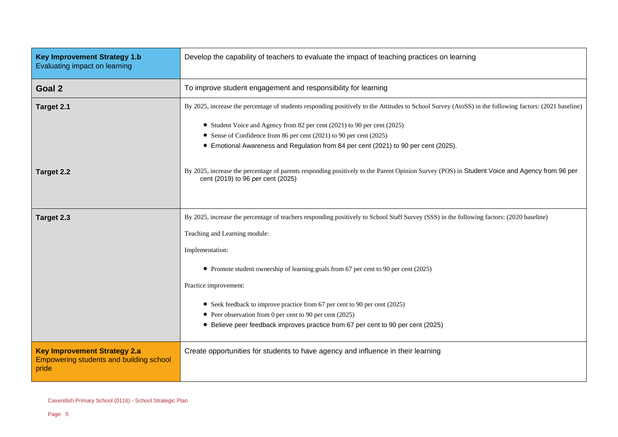| <b>Key Improvement Strategy 1.b</b><br>Evaluating impact on learning                    | Develop the capability of teachers to evaluate the impact of teaching practices on learning                                                                                                                                                       |
|-----------------------------------------------------------------------------------------|---------------------------------------------------------------------------------------------------------------------------------------------------------------------------------------------------------------------------------------------------|
| Goal 2                                                                                  | To improve student engagement and responsibility for learning                                                                                                                                                                                     |
| Target 2.1                                                                              | By 2025, increase the percentage of students responding positively to the Attitudes to School Survey (AtoSS) in the following factors: (2021 baseline)                                                                                            |
|                                                                                         | • Student Voice and Agency from 82 per cent (2021) to 90 per cent (2025)<br>• Sense of Confidence from 86 per cent (2021) to 90 per cent (2025)<br>Emotional Awareness and Regulation from 84 per cent (2021) to 90 per cent (2025).<br>$\bullet$ |
| Target 2.2                                                                              | By 2025, increase the percentage of parents responding positively to the Parent Opinion Survey (POS) in Student Voice and Agency from 96 per<br>cent (2019) to 96 per cent (2025)                                                                 |
| Target 2.3                                                                              | By 2025, increase the percentage of teachers responding positively to School Staff Survey (SSS) in the following factors: (2020 baseline)                                                                                                         |
|                                                                                         | Teaching and Learning module:                                                                                                                                                                                                                     |
|                                                                                         | Implementation:                                                                                                                                                                                                                                   |
|                                                                                         | • Promote student ownership of learning goals from 67 per cent to 90 per cent (2025)                                                                                                                                                              |
|                                                                                         | Practice improvement:                                                                                                                                                                                                                             |
|                                                                                         | • Seek feedback to improve practice from 67 per cent to 90 per cent (2025)                                                                                                                                                                        |
|                                                                                         | • Peer observation from 0 per cent to 90 per cent (2025)<br>• Believe peer feedback improves practice from 67 per cent to 90 per cent (2025)                                                                                                      |
|                                                                                         |                                                                                                                                                                                                                                                   |
| <b>Key Improvement Strategy 2.a</b><br>Empowering students and building school<br>pride | Create opportunities for students to have agency and influence in their learning                                                                                                                                                                  |